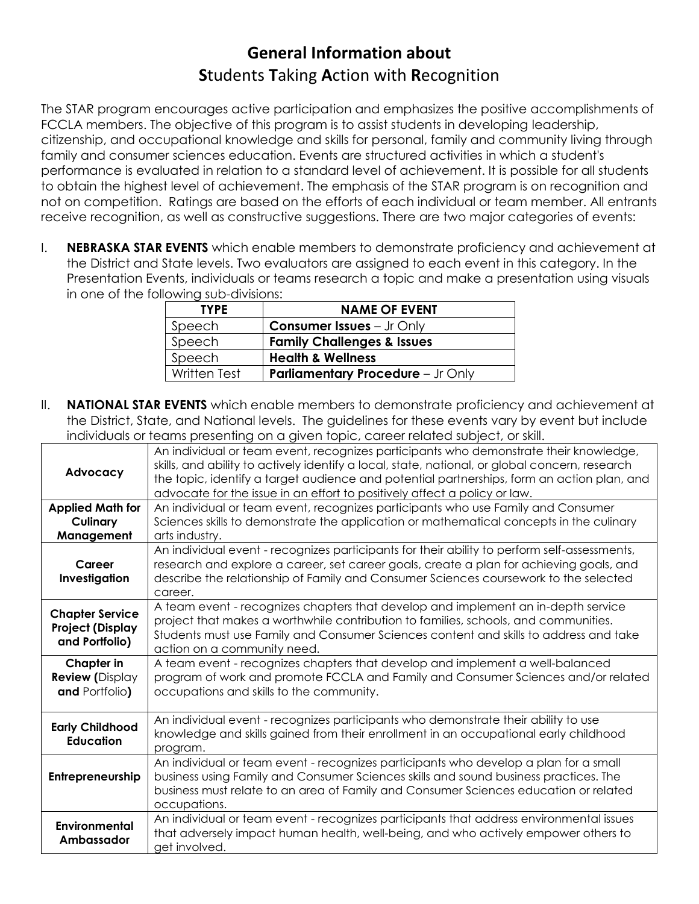## **General Information about S**tudents **T**aking **A**ction with **R**ecognition

The STAR program encourages active participation and emphasizes the positive accomplishments of FCCLA members. The objective of this program is to assist students in developing leadership, citizenship, and occupational knowledge and skills for personal, family and community living through family and consumer sciences education. Events are structured activities in which a student's performance is evaluated in relation to a standard level of achievement. It is possible for all students to obtain the highest level of achievement. The emphasis of the STAR program is on recognition and not on competition. Ratings are based on the efforts of each individual or team member. All entrants receive recognition, as well as constructive suggestions. There are two major categories of events:

I. **NEBRASKA STAR EVENTS** which enable members to demonstrate proficiency and achievement at the District and State levels. Two evaluators are assigned to each event in this category. In the Presentation Events, individuals or teams research a topic and make a presentation using visuals in one of the following sub-divisions:

| <b>TYPE</b>  | <b>NAME OF EVENT</b>                     |
|--------------|------------------------------------------|
| Speech       | <b>Consumer Issues</b> $-$ Jr Only       |
| Speech       | <b>Family Challenges &amp; Issues</b>    |
| Speech       | <b>Health &amp; Wellness</b>             |
| Written Test | <b>Parliamentary Procedure - Jr Only</b> |

II. **NATIONAL STAR EVENTS** which enable members to demonstrate proficiency and achievement at the District, State, and National levels. The guidelines for these events vary by event but include individuals or teams presenting on a given topic, career related subject, or skill.

|                                                                     | inarradas or foams prosoning on a girch fopic, career foiarea subject, or sial.                                                                                                                                                                                                                                                                                    |
|---------------------------------------------------------------------|--------------------------------------------------------------------------------------------------------------------------------------------------------------------------------------------------------------------------------------------------------------------------------------------------------------------------------------------------------------------|
| Advocacy                                                            | An individual or team event, recognizes participants who demonstrate their knowledge,<br>skills, and ability to actively identify a local, state, national, or global concern, research<br>the topic, identify a target audience and potential partnerships, form an action plan, and<br>advocate for the issue in an effort to positively affect a policy or law. |
| <b>Applied Math for</b>                                             | An individual or team event, recognizes participants who use Family and Consumer                                                                                                                                                                                                                                                                                   |
|                                                                     |                                                                                                                                                                                                                                                                                                                                                                    |
| Culinary                                                            | Sciences skills to demonstrate the application or mathematical concepts in the culinary                                                                                                                                                                                                                                                                            |
| Management                                                          | arts industry.                                                                                                                                                                                                                                                                                                                                                     |
| Career<br>Investigation                                             | An individual event - recognizes participants for their ability to perform self-assessments,<br>research and explore a career, set career goals, create a plan for achieving goals, and<br>describe the relationship of Family and Consumer Sciences coursework to the selected<br>career.                                                                         |
| <b>Chapter Service</b><br><b>Project (Display</b><br>and Portfolio) | A team event - recognizes chapters that develop and implement an in-depth service<br>project that makes a worthwhile contribution to families, schools, and communities.<br>Students must use Family and Consumer Sciences content and skills to address and take<br>action on a community need.                                                                   |
| Chapter in<br><b>Review (Display</b><br>and Portfolio)              | A team event - recognizes chapters that develop and implement a well-balanced<br>program of work and promote FCCLA and Family and Consumer Sciences and/or related<br>occupations and skills to the community.                                                                                                                                                     |
| <b>Early Childhood</b><br><b>Education</b>                          | An individual event - recognizes participants who demonstrate their ability to use<br>knowledge and skills gained from their enrollment in an occupational early childhood<br>program.                                                                                                                                                                             |
| Entrepreneurship                                                    | An individual or team event - recognizes participants who develop a plan for a small<br>business using Family and Consumer Sciences skills and sound business practices. The<br>business must relate to an area of Family and Consumer Sciences education or related<br>occupations.                                                                               |
| <b>Environmental</b><br>Ambassador                                  | An individual or team event - recognizes participants that address environmental issues<br>that adversely impact human health, well-being, and who actively empower others to<br>get involved.                                                                                                                                                                     |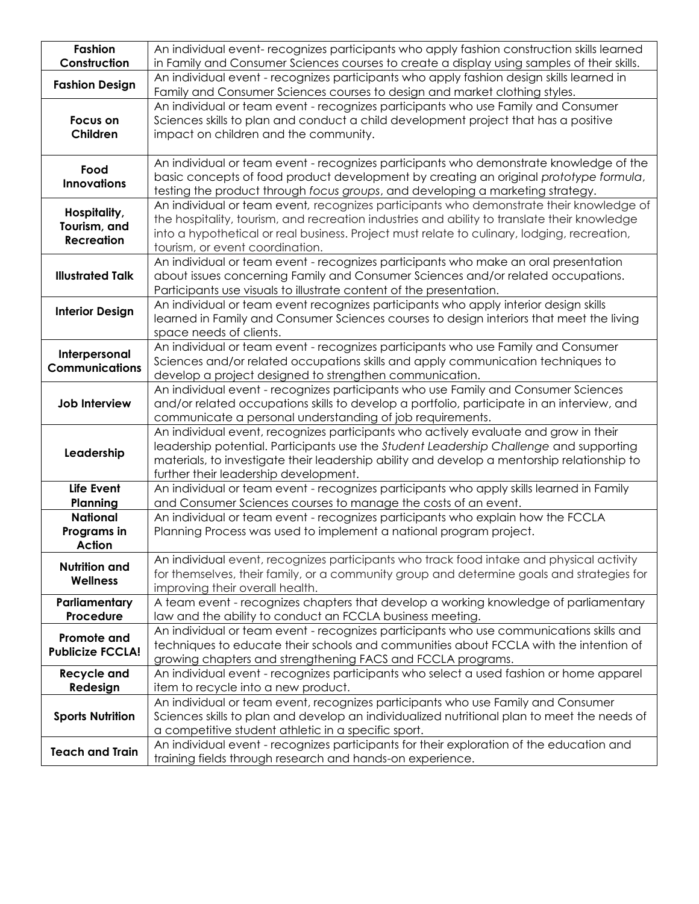| <b>Fashion</b><br>Construction                    | An individual event-recognizes participants who apply fashion construction skills learned<br>in Family and Consumer Sciences courses to create a display using samples of their skills.                                                                                                                                   |  |  |
|---------------------------------------------------|---------------------------------------------------------------------------------------------------------------------------------------------------------------------------------------------------------------------------------------------------------------------------------------------------------------------------|--|--|
| <b>Fashion Design</b>                             | An individual event - recognizes participants who apply fashion design skills learned in<br>Family and Consumer Sciences courses to design and market clothing styles.                                                                                                                                                    |  |  |
| Focus on<br>Children                              | An individual or team event - recognizes participants who use Family and Consumer<br>Sciences skills to plan and conduct a child development project that has a positive<br>impact on children and the community.                                                                                                         |  |  |
| Food<br><b>Innovations</b>                        | An individual or team event - recognizes participants who demonstrate knowledge of the<br>basic concepts of food product development by creating an original prototype formula,<br>testing the product through focus groups, and developing a marketing strategy.                                                         |  |  |
| Hospitality,<br>Tourism, and<br><b>Recreation</b> | An individual or team event, recognizes participants who demonstrate their knowledge of<br>the hospitality, tourism, and recreation industries and ability to translate their knowledge<br>into a hypothetical or real business. Project must relate to culinary, lodging, recreation,<br>tourism, or event coordination. |  |  |
| <b>Illustrated Talk</b>                           | An individual or team event - recognizes participants who make an oral presentation<br>about issues concerning Family and Consumer Sciences and/or related occupations.<br>Participants use visuals to illustrate content of the presentation.                                                                            |  |  |
| <b>Interior Design</b>                            | An individual or team event recognizes participants who apply interior design skills<br>learned in Family and Consumer Sciences courses to design interiors that meet the living<br>space needs of clients.                                                                                                               |  |  |
| Interpersonal<br><b>Communications</b>            | An individual or team event - recognizes participants who use Family and Consumer<br>Sciences and/or related occupations skills and apply communication techniques to<br>develop a project designed to strengthen communication.                                                                                          |  |  |
| Job Interview                                     | An individual event - recognizes participants who use Family and Consumer Sciences<br>and/or related occupations skills to develop a portfolio, participate in an interview, and<br>communicate a personal understanding of job requirements.                                                                             |  |  |
| Leadership                                        | An individual event, recognizes participants who actively evaluate and grow in their<br>leadership potential. Participants use the Student Leadership Challenge and supporting<br>materials, to investigate their leadership ability and develop a mentorship relationship to<br>further their leadership development.    |  |  |
| <b>Life Event</b><br>Planning                     | An individual or team event - recognizes participants who apply skills learned in Family<br>and Consumer Sciences courses to manage the costs of an event.                                                                                                                                                                |  |  |
| <b>National</b><br>Programs in<br>Action          | An individual or team event - recognizes participants who explain how the FCCLA<br>Planning Process was used to implement a national program project.                                                                                                                                                                     |  |  |
| <b>Nutrition and</b><br><b>Wellness</b>           | An individual event, recognizes participants who track food intake and physical activity<br>for themselves, their family, or a community group and determine goals and strategies for<br>improving their overall health.                                                                                                  |  |  |
| Parliamentary<br>Procedure                        | A team event - recognizes chapters that develop a working knowledge of parliamentary<br>law and the ability to conduct an FCCLA business meeting.                                                                                                                                                                         |  |  |
| Promote and<br><b>Publicize FCCLA!</b>            | An individual or team event - recognizes participants who use communications skills and<br>techniques to educate their schools and communities about FCCLA with the intention of<br>growing chapters and strengthening FACS and FCCLA programs.                                                                           |  |  |
| <b>Recycle and</b><br>Redesign                    | An individual event - recognizes participants who select a used fashion or home apparel<br>item to recycle into a new product.                                                                                                                                                                                            |  |  |
| <b>Sports Nutrition</b>                           | An individual or team event, recognizes participants who use Family and Consumer<br>Sciences skills to plan and develop an individualized nutritional plan to meet the needs of<br>a competitive student athletic in a specific sport.                                                                                    |  |  |
| <b>Teach and Train</b>                            | An individual event - recognizes participants for their exploration of the education and<br>training fields through research and hands-on experience.                                                                                                                                                                     |  |  |